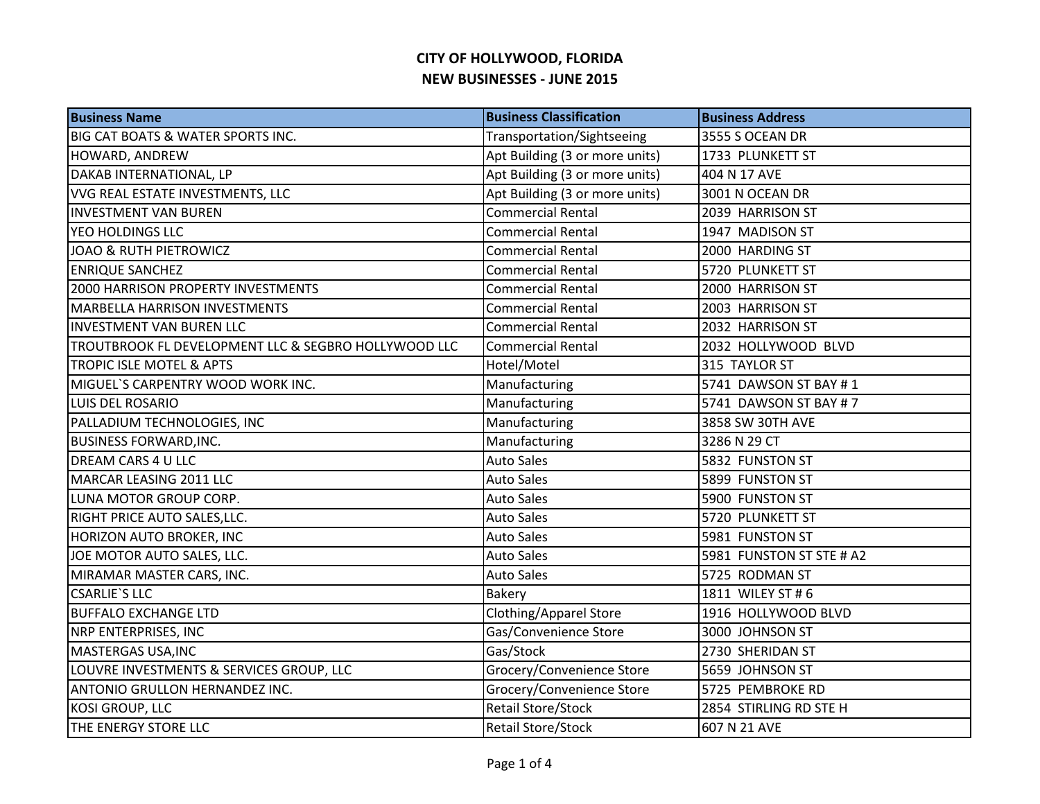| <b>Business Name</b>                                 | <b>Business Classification</b> | <b>Business Address</b>  |
|------------------------------------------------------|--------------------------------|--------------------------|
| <b>BIG CAT BOATS &amp; WATER SPORTS INC.</b>         | Transportation/Sightseeing     | 3555 S OCEAN DR          |
| HOWARD, ANDREW                                       | Apt Building (3 or more units) | 1733 PLUNKETT ST         |
| DAKAB INTERNATIONAL, LP                              | Apt Building (3 or more units) | 404 N 17 AVE             |
| VVG REAL ESTATE INVESTMENTS, LLC                     | Apt Building (3 or more units) | 3001 N OCEAN DR          |
| <b>INVESTMENT VAN BUREN</b>                          | <b>Commercial Rental</b>       | 2039 HARRISON ST         |
| YEO HOLDINGS LLC                                     | <b>Commercial Rental</b>       | 1947 MADISON ST          |
| JOAO & RUTH PIETROWICZ                               | <b>Commercial Rental</b>       | 2000 HARDING ST          |
| <b>ENRIQUE SANCHEZ</b>                               | <b>Commercial Rental</b>       | 5720 PLUNKETT ST         |
| 2000 HARRISON PROPERTY INVESTMENTS                   | <b>Commercial Rental</b>       | 2000 HARRISON ST         |
| <b>MARBELLA HARRISON INVESTMENTS</b>                 | <b>Commercial Rental</b>       | 2003 HARRISON ST         |
| <b>INVESTMENT VAN BUREN LLC</b>                      | <b>Commercial Rental</b>       | 2032 HARRISON ST         |
| TROUTBROOK FL DEVELOPMENT LLC & SEGBRO HOLLYWOOD LLC | <b>Commercial Rental</b>       | 2032 HOLLYWOOD BLVD      |
| <b>TROPIC ISLE MOTEL &amp; APTS</b>                  | Hotel/Motel                    | 315 TAYLOR ST            |
| MIGUEL'S CARPENTRY WOOD WORK INC.                    | Manufacturing                  | 5741 DAWSON ST BAY #1    |
| LUIS DEL ROSARIO                                     | Manufacturing                  | 5741 DAWSON ST BAY # 7   |
| PALLADIUM TECHNOLOGIES, INC                          | Manufacturing                  | 3858 SW 30TH AVE         |
| <b>BUSINESS FORWARD, INC.</b>                        | Manufacturing                  | 3286 N 29 CT             |
| <b>DREAM CARS 4 U LLC</b>                            | <b>Auto Sales</b>              | 5832 FUNSTON ST          |
| MARCAR LEASING 2011 LLC                              | <b>Auto Sales</b>              | 5899 FUNSTON ST          |
| LUNA MOTOR GROUP CORP.                               | <b>Auto Sales</b>              | 5900 FUNSTON ST          |
| RIGHT PRICE AUTO SALES, LLC.                         | <b>Auto Sales</b>              | 5720 PLUNKETT ST         |
| <b>HORIZON AUTO BROKER, INC</b>                      | <b>Auto Sales</b>              | 5981 FUNSTON ST          |
| JOE MOTOR AUTO SALES, LLC.                           | <b>Auto Sales</b>              | 5981 FUNSTON ST STE # A2 |
| MIRAMAR MASTER CARS, INC.                            | <b>Auto Sales</b>              | 5725 RODMAN ST           |
| <b>CSARLIE'S LLC</b>                                 | Bakery                         | 1811 WILEY ST #6         |
| <b>BUFFALO EXCHANGE LTD</b>                          | <b>Clothing/Apparel Store</b>  | 1916 HOLLYWOOD BLVD      |
| <b>NRP ENTERPRISES, INC</b>                          | Gas/Convenience Store          | 3000 JOHNSON ST          |
| MASTERGAS USA, INC                                   | Gas/Stock                      | 2730 SHERIDAN ST         |
| LOUVRE INVESTMENTS & SERVICES GROUP, LLC             | Grocery/Convenience Store      | 5659 JOHNSON ST          |
| <b>ANTONIO GRULLON HERNANDEZ INC.</b>                | Grocery/Convenience Store      | 5725 PEMBROKE RD         |
| <b>KOSI GROUP, LLC</b>                               | <b>Retail Store/Stock</b>      | 2854 STIRLING RD STE H   |
| THE ENERGY STORE LLC                                 | Retail Store/Stock             | 607 N 21 AVE             |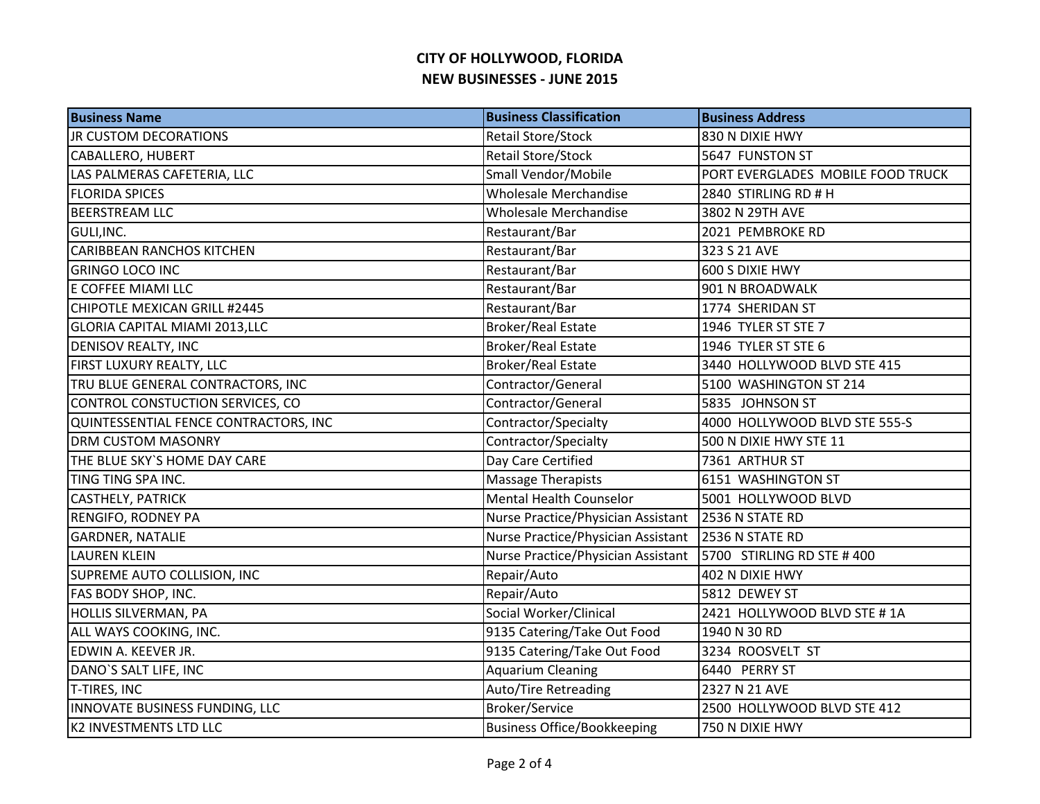| <b>Business Name</b>                  | <b>Business Classification</b>     | <b>Business Address</b>           |
|---------------------------------------|------------------------------------|-----------------------------------|
| <b>JR CUSTOM DECORATIONS</b>          | <b>Retail Store/Stock</b>          | 830 N DIXIE HWY                   |
| CABALLERO, HUBERT                     | Retail Store/Stock                 | 5647 FUNSTON ST                   |
| LAS PALMERAS CAFETERIA, LLC           | Small Vendor/Mobile                | PORT EVERGLADES MOBILE FOOD TRUCK |
| <b>FLORIDA SPICES</b>                 | Wholesale Merchandise              | 2840 STIRLING RD # H              |
| <b>BEERSTREAM LLC</b>                 | Wholesale Merchandise              | 3802 N 29TH AVE                   |
| GULI, INC.                            | Restaurant/Bar                     | 2021 PEMBROKE RD                  |
| <b>CARIBBEAN RANCHOS KITCHEN</b>      | Restaurant/Bar                     | 323 S 21 AVE                      |
| <b>GRINGO LOCO INC</b>                | Restaurant/Bar                     | 600 S DIXIE HWY                   |
| E COFFEE MIAMI LLC                    | Restaurant/Bar                     | 901 N BROADWALK                   |
| CHIPOTLE MEXICAN GRILL #2445          | Restaurant/Bar                     | 1774 SHERIDAN ST                  |
| <b>GLORIA CAPITAL MIAMI 2013, LLC</b> | <b>Broker/Real Estate</b>          | 1946 TYLER ST STE 7               |
| DENISOV REALTY, INC                   | Broker/Real Estate                 | 1946 TYLER ST STE 6               |
| FIRST LUXURY REALTY, LLC              | <b>Broker/Real Estate</b>          | 3440 HOLLYWOOD BLVD STE 415       |
| TRU BLUE GENERAL CONTRACTORS, INC     | Contractor/General                 | 5100 WASHINGTON ST 214            |
| CONTROL CONSTUCTION SERVICES, CO      | Contractor/General                 | 5835 JOHNSON ST                   |
| QUINTESSENTIAL FENCE CONTRACTORS, INC | Contractor/Specialty               | 4000 HOLLYWOOD BLVD STE 555-S     |
| <b>DRM CUSTOM MASONRY</b>             | Contractor/Specialty               | 500 N DIXIE HWY STE 11            |
| THE BLUE SKY'S HOME DAY CARE          | Day Care Certified                 | 7361 ARTHUR ST                    |
| TING TING SPA INC.                    | <b>Massage Therapists</b>          | 6151 WASHINGTON ST                |
| <b>CASTHELY, PATRICK</b>              | <b>Mental Health Counselor</b>     | 5001 HOLLYWOOD BLVD               |
| <b>RENGIFO, RODNEY PA</b>             | Nurse Practice/Physician Assistant | 2536 N STATE RD                   |
| <b>GARDNER, NATALIE</b>               | Nurse Practice/Physician Assistant | 2536 N STATE RD                   |
| <b>LAUREN KLEIN</b>                   | Nurse Practice/Physician Assistant | 5700 STIRLING RD STE #400         |
| SUPREME AUTO COLLISION, INC           | Repair/Auto                        | 402 N DIXIE HWY                   |
| FAS BODY SHOP, INC.                   | Repair/Auto                        | 5812 DEWEY ST                     |
| <b>HOLLIS SILVERMAN, PA</b>           | Social Worker/Clinical             | 2421 HOLLYWOOD BLVD STE #1A       |
| ALL WAYS COOKING, INC.                | 9135 Catering/Take Out Food        | 1940 N 30 RD                      |
| EDWIN A. KEEVER JR.                   | 9135 Catering/Take Out Food        | 3234 ROOSVELT ST                  |
| DANO'S SALT LIFE, INC                 | <b>Aquarium Cleaning</b>           | 6440 PERRY ST                     |
| T-TIRES, INC                          | Auto/Tire Retreading               | 2327 N 21 AVE                     |
| INNOVATE BUSINESS FUNDING, LLC        | Broker/Service                     | 2500 HOLLYWOOD BLVD STE 412       |
| <b>K2 INVESTMENTS LTD LLC</b>         | <b>Business Office/Bookkeeping</b> | 750 N DIXIE HWY                   |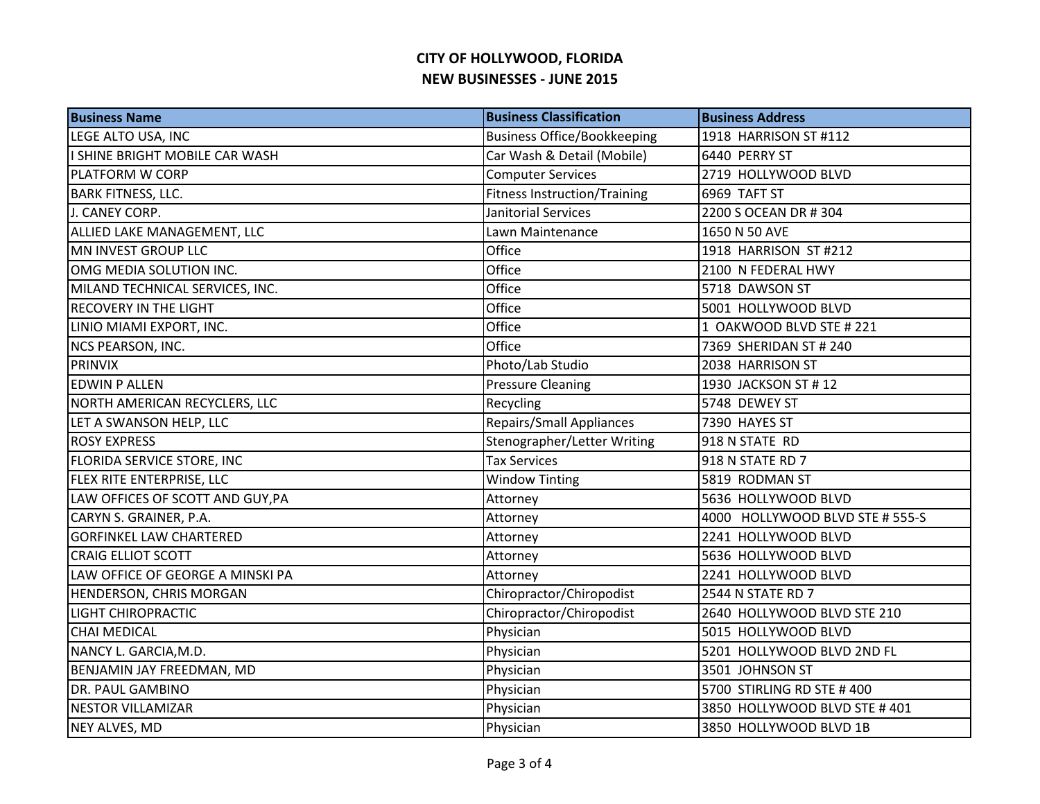| <b>Business Name</b>             | <b>Business Classification</b>      | <b>Business Address</b>         |
|----------------------------------|-------------------------------------|---------------------------------|
| LEGE ALTO USA, INC               | <b>Business Office/Bookkeeping</b>  | 1918 HARRISON ST #112           |
| I SHINE BRIGHT MOBILE CAR WASH   | Car Wash & Detail (Mobile)          | 6440 PERRY ST                   |
| <b>PLATFORM W CORP</b>           | <b>Computer Services</b>            | 2719 HOLLYWOOD BLVD             |
| <b>BARK FITNESS, LLC.</b>        | <b>Fitness Instruction/Training</b> | 6969 TAFT ST                    |
| J. CANEY CORP.                   | Janitorial Services                 | 2200 S OCEAN DR # 304           |
| ALLIED LAKE MANAGEMENT, LLC      | Lawn Maintenance                    | 1650 N 50 AVE                   |
| MN INVEST GROUP LLC              | Office                              | 1918 HARRISON ST #212           |
| OMG MEDIA SOLUTION INC.          | Office                              | 2100 N FEDERAL HWY              |
| MILAND TECHNICAL SERVICES, INC.  | Office                              | 5718 DAWSON ST                  |
| <b>RECOVERY IN THE LIGHT</b>     | Office                              | 5001 HOLLYWOOD BLVD             |
| LINIO MIAMI EXPORT, INC.         | Office                              | 1 OAKWOOD BLVD STE # 221        |
| NCS PEARSON, INC.                | Office                              | 7369 SHERIDAN ST # 240          |
| <b>PRINVIX</b>                   | Photo/Lab Studio                    | 2038 HARRISON ST                |
| <b>EDWIN P ALLEN</b>             | <b>Pressure Cleaning</b>            | 1930 JACKSON ST #12             |
| NORTH AMERICAN RECYCLERS, LLC    | Recycling                           | 5748 DEWEY ST                   |
| LET A SWANSON HELP, LLC          | <b>Repairs/Small Appliances</b>     | 7390 HAYES ST                   |
| <b>ROSY EXPRESS</b>              | Stenographer/Letter Writing         | 918 N STATE RD                  |
| FLORIDA SERVICE STORE, INC       | <b>Tax Services</b>                 | 918 N STATE RD 7                |
| <b>FLEX RITE ENTERPRISE, LLC</b> | <b>Window Tinting</b>               | 5819 RODMAN ST                  |
| LAW OFFICES OF SCOTT AND GUY, PA | Attorney                            | 5636 HOLLYWOOD BLVD             |
| CARYN S. GRAINER, P.A.           | Attorney                            | 4000 HOLLYWOOD BLVD STE # 555-S |
| <b>GORFINKEL LAW CHARTERED</b>   | Attorney                            | 2241 HOLLYWOOD BLVD             |
| <b>CRAIG ELLIOT SCOTT</b>        | Attorney                            | 5636 HOLLYWOOD BLVD             |
| LAW OFFICE OF GEORGE A MINSKI PA | Attorney                            | 2241 HOLLYWOOD BLVD             |
| <b>HENDERSON, CHRIS MORGAN</b>   | Chiropractor/Chiropodist            | 2544 N STATE RD 7               |
| <b>LIGHT CHIROPRACTIC</b>        | Chiropractor/Chiropodist            | 2640 HOLLYWOOD BLVD STE 210     |
| <b>CHAI MEDICAL</b>              | Physician                           | 5015 HOLLYWOOD BLVD             |
| NANCY L. GARCIA, M.D.            | Physician                           | 5201 HOLLYWOOD BLVD 2ND FL      |
| BENJAMIN JAY FREEDMAN, MD        | Physician                           | 3501 JOHNSON ST                 |
| <b>DR. PAUL GAMBINO</b>          | Physician                           | 5700 STIRLING RD STE #400       |
| <b>NESTOR VILLAMIZAR</b>         | Physician                           | 3850 HOLLYWOOD BLVD STE #401    |
| NEY ALVES, MD                    | Physician                           | 3850 HOLLYWOOD BLVD 1B          |